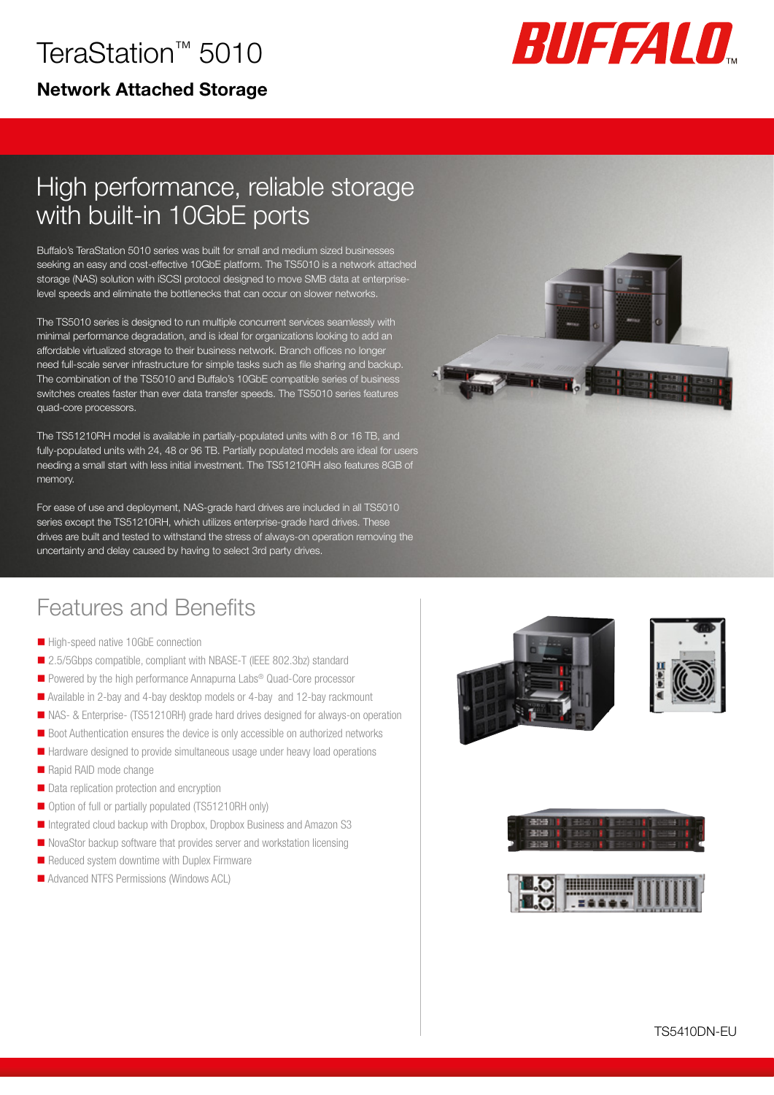# TeraStation™ 5010

#### Network Attached Storage



# High performance, reliable storage with built-in 10GbE ports

Buffalo's TeraStation 5010 series was built for small and medium sized businesses seeking an easy and cost-effective 10GbE platform. The TS5010 is a network attached storage (NAS) solution with iSCSI protocol designed to move SMB data at enterpriselevel speeds and eliminate the bottlenecks that can occur on slower networks.

The TS5010 series is designed to run multiple concurrent services seamlessly with minimal performance degradation, and is ideal for organizations looking to add an affordable virtualized storage to their business network. Branch offices no longer need full-scale server infrastructure for simple tasks such as file sharing and backup. The combination of the TS5010 and Buffalo's 10GbE compatible series of bus switches creates faster than ever data transfer speeds. The TS5010 series features quad-core processors.

The TS51210RH model is available in partially-populated units with 8 or 16 TB, and fully-populated units with 24, 48 or 96 TB. Partially populated models are ideal for users needing a small start with less initial investment. The TS51210RH also features 8GB of memory.

For ease of use and deployment, NAS-grade hard drives are included in all TS5010 series except the TS51210RH, which utilizes enterprise-grade hard drives. These drives are built and tested to withstand the stress of always-on operation removing the uncertainty and delay caused by having to select 3rd party drives.

## Features and Benefits

- **High-speed native 10GbE connection**
- 2.5/5Gbps compatible, compliant with NBASE-T (IEEE 802.3bz) standard
- Powered by the high performance Annapurna Labs® Quad-Core processor
- Available in 2-bay and 4-bay desktop models or 4-bay and 12-bay rackmount
- NAS- & Enterprise- (TS51210RH) grade hard drives designed for always-on operation
- Boot Authentication ensures the device is only accessible on authorized networks
- Hardware designed to provide simultaneous usage under heavy load operations
- Rapid RAID mode change
- Data replication protection and encryption
- Option of full or partially populated (TS51210RH only)
- Integrated cloud backup with Dropbox, Dropbox Business and Amazon S3
- NovaStor backup software that provides server and workstation licensing
- Reduced system downtime with Duplex Firmware
- **Advanced NTFS Permissions (Windows ACL)**